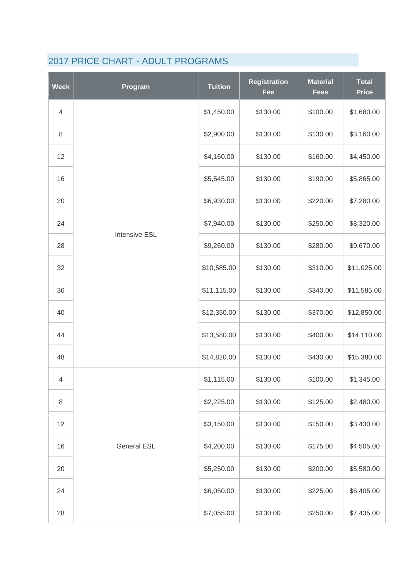| <b>Week</b>              | Program              | <b>Tuition</b> | <b>Registration</b><br>Fee | <b>Material</b><br><b>Fees</b> | <b>Total</b><br><b>Price</b> |
|--------------------------|----------------------|----------------|----------------------------|--------------------------------|------------------------------|
| $\overline{4}$           |                      | \$1,450.00     | \$130.00                   | \$100.00                       | \$1,680.00                   |
| 8                        |                      | \$2,900.00     | \$130.00                   | \$130.00                       | \$3,160.00                   |
| 12                       |                      | \$4,160.00     | \$130.00                   | \$160.00                       | \$4,450.00                   |
| 16                       |                      | \$5,545.00     | \$130.00                   | \$190.00                       | \$5,865.00                   |
| 20                       |                      | \$6,930.00     | \$130.00                   | \$220.00                       | \$7,280.00                   |
| 24                       |                      | \$7,940.00     | \$130.00                   | \$250.00                       | \$8,320.00                   |
| 28                       | <b>Intensive ESL</b> | \$9,260.00     | \$130.00                   | \$280.00                       | \$9,670.00                   |
| 32                       |                      | \$10,585.00    | \$130.00                   | \$310.00                       | \$11,025.00                  |
| 36                       |                      | \$11,115.00    | \$130.00                   | \$340.00                       | \$11,585.00                  |
| 40                       |                      | \$12,350.00    | \$130.00                   | \$370.00                       | \$12,850.00                  |
| 44                       |                      | \$13,580.00    | \$130.00                   | \$400.00                       | \$14,110.00                  |
| 48                       |                      | \$14,820.00    | \$130.00                   | \$430.00                       | \$15,380.00                  |
| $\overline{\mathcal{A}}$ |                      | \$1,115.00     | \$130.00                   | \$100.00                       | \$1,345.00                   |
| 8                        |                      | \$2,225.00     | \$130.00                   | \$125.00                       | \$2,480.00                   |
| 12                       |                      | \$3,150.00     | \$130.00                   | \$150.00                       | \$3,430.00                   |
| 16                       | <b>General ESL</b>   | \$4,200.00     | \$130.00                   | \$175.00                       | \$4,505.00                   |
| 20                       |                      | \$5,250.00     | \$130.00                   | \$200.00                       | \$5,580.00                   |
| 24                       |                      | \$6,050.00     | \$130.00                   | \$225.00                       | \$6,405.00                   |
| 28                       |                      | \$7,055.00     | \$130.00                   | \$250.00                       | \$7,435.00                   |

## 2017 PRICE CHART - ADULT PROGRAMS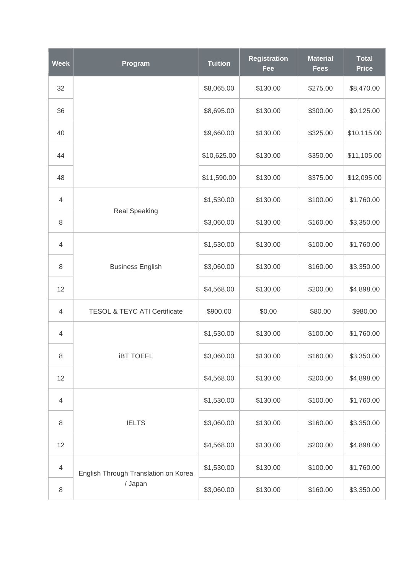| <b>Week</b>    | Program                                 | <b>Tuition</b> | <b>Registration</b><br>Fee | <b>Material</b><br><b>Fees</b> | <b>Total</b><br><b>Price</b> |
|----------------|-----------------------------------------|----------------|----------------------------|--------------------------------|------------------------------|
| 32             |                                         | \$8,065.00     | \$130.00                   | \$275.00                       | \$8,470.00                   |
| 36             |                                         | \$8,695.00     | \$130.00                   | \$300.00                       | \$9,125.00                   |
| 40             |                                         | \$9,660.00     | \$130.00                   | \$325.00                       | \$10,115.00                  |
| 44             |                                         | \$10,625.00    | \$130.00                   | \$350.00                       | \$11,105.00                  |
| 48             |                                         | \$11,590.00    | \$130.00                   | \$375.00                       | \$12,095.00                  |
| $\overline{4}$ |                                         | \$1,530.00     | \$130.00                   | \$100.00                       | \$1,760.00                   |
| 8              | <b>Real Speaking</b>                    | \$3,060.00     | \$130.00                   | \$160.00                       | \$3,350.00                   |
| $\overline{4}$ |                                         | \$1,530.00     | \$130.00                   | \$100.00                       | \$1,760.00                   |
| 8              | <b>Business English</b>                 | \$3,060.00     | \$130.00                   | \$160.00                       | \$3,350.00                   |
| 12             |                                         | \$4,568.00     | \$130.00                   | \$200.00                       | \$4,898.00                   |
| $\overline{4}$ | <b>TESOL &amp; TEYC ATI Certificate</b> | \$900.00       | \$0.00                     | \$80.00                        | \$980.00                     |
| 4              |                                         | \$1,530.00     | \$130.00                   | \$100.00                       | \$1,760.00                   |
| 8              | <b>IBT TOEFL</b>                        | \$3,060.00     | \$130.00                   | \$160.00                       | \$3,350.00                   |
| 12             |                                         | \$4,568.00     | \$130.00                   | \$200.00                       | \$4,898.00                   |
| $\overline{4}$ |                                         | \$1,530.00     | \$130.00                   | \$100.00                       | \$1,760.00                   |
| 8              | <b>IELTS</b>                            | \$3,060.00     | \$130.00                   | \$160.00                       | \$3,350.00                   |
| 12             |                                         | \$4,568.00     | \$130.00                   | \$200.00                       | \$4,898.00                   |
| $\overline{4}$ | English Through Translation on Korea    | \$1,530.00     | \$130.00                   | \$100.00                       | \$1,760.00                   |
| $\,8\,$        | / Japan                                 | \$3,060.00     | \$130.00                   | \$160.00                       | \$3,350.00                   |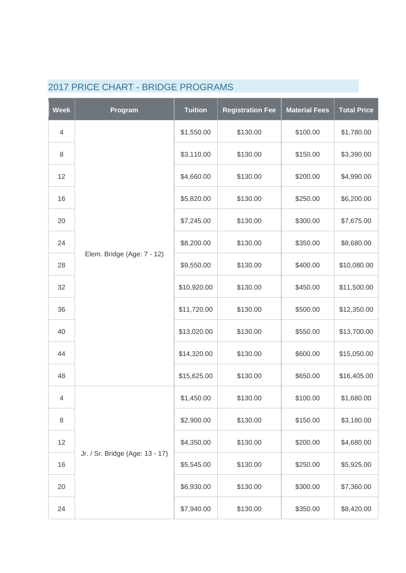| <b>Week</b>    | Program                         | <b>Tuition</b> | <b>Registration Fee</b> | <b>Material Fees</b> | <b>Total Price</b> |
|----------------|---------------------------------|----------------|-------------------------|----------------------|--------------------|
| $\overline{4}$ |                                 | \$1,550.00     | \$130.00                | \$100.00             | \$1,780.00         |
| $\,8\,$        |                                 | \$3,110.00     | \$130.00                | \$150.00             | \$3,390.00         |
| 12             |                                 | \$4,660.00     | \$130.00                | \$200.00             | \$4,990.00         |
| 16             |                                 | \$5,820.00     | \$130.00                | \$250.00             | \$6,200.00         |
| 20             |                                 | \$7,245.00     | \$130.00                | \$300.00             | \$7,675.00         |
| 24             |                                 | \$8,200.00     | \$130.00                | \$350.00             | \$8,680.00         |
| 28             | Elem. Bridge (Age: 7 - 12)      | \$9,550.00     | \$130.00                | \$400.00             | \$10,080.00        |
| 32             |                                 | \$10,920.00    | \$130.00                | \$450.00             | \$11,500.00        |
| 36             |                                 | \$11,720.00    | \$130.00                | \$500.00             | \$12,350.00        |
| 40             |                                 | \$13,020.00    | \$130.00                | \$550.00             | \$13,700.00        |
| 44             |                                 | \$14,320.00    | \$130.00                | \$600.00             | \$15,050.00        |
| 48             |                                 | \$15,625.00    | \$130.00                | \$650.00             | \$16,405.00        |
| 4              |                                 | \$1,450.00     | \$130.00                | \$100.00             | \$1,680.00         |
| $\,8\,$        |                                 | \$2,900.00     | \$130.00                | \$150.00             | \$3,180.00         |
| 12             | Jr. / Sr. Bridge (Age: 13 - 17) | \$4,350.00     | \$130.00                | \$200.00             | \$4,680.00         |
| 16             |                                 | \$5,545.00     | \$130.00                | \$250.00             | \$5,925.00         |
| 20             |                                 | \$6,930.00     | \$130.00                | \$300.00             | \$7,360.00         |
| 24             |                                 | \$7,940.00     | \$130.00                | \$350.00             | \$8,420.00         |

## 2017 PRICE CHART - BRIDGE PROGRAMS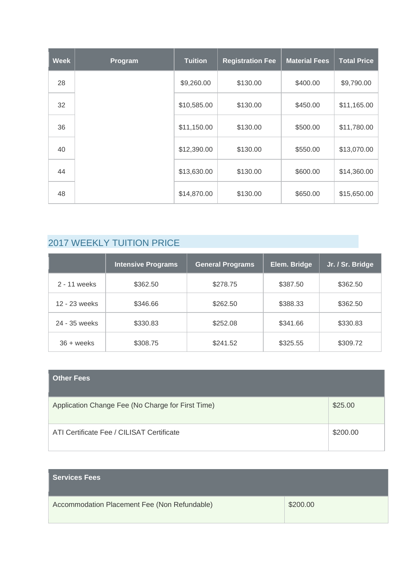| <b>Week</b> | Program | <b>Tuition</b> | <b>Registration Fee</b> | <b>Material Fees</b> | <b>Total Price</b> |
|-------------|---------|----------------|-------------------------|----------------------|--------------------|
| 28          |         | \$9,260.00     | \$130.00                | \$400.00             | \$9,790.00         |
| 32          |         | \$10,585.00    | \$130.00                | \$450.00             | \$11,165.00        |
| 36          |         | \$11,150.00    | \$130.00                | \$500.00             | \$11,780.00        |
| 40          |         | \$12,390.00    | \$130.00                | \$550.00             | \$13,070.00        |
| 44          |         | \$13,630.00    | \$130.00                | \$600.00             | \$14,360.00        |
| 48          |         | \$14,870.00    | \$130.00                | \$650.00             | \$15,650.00        |

## 2017 WEEKLY TUITION PRICE

|               | <b>Intensive Programs</b> | <b>General Programs</b> | Elem. Bridge | Jr. / Sr. Bridge |
|---------------|---------------------------|-------------------------|--------------|------------------|
| 2 - 11 weeks  | \$362.50                  | \$278.75                | \$387.50     | \$362.50         |
| 12 - 23 weeks | \$346.66                  | \$262.50                | \$388.33     | \$362.50         |
| 24 - 35 weeks | \$330.83                  | \$252.08                | \$341.66     | \$330.83         |
| $36 + weeks$  | \$308.75                  | \$241.52                | \$325.55     | \$309.72         |

| <b>Other Fees</b>                                 |          |
|---------------------------------------------------|----------|
| Application Change Fee (No Charge for First Time) | \$25.00  |
| ATI Certificate Fee / CILISAT Certificate         | \$200.00 |

| <b>Services Fees</b>                         |          |
|----------------------------------------------|----------|
| Accommodation Placement Fee (Non Refundable) | \$200.00 |